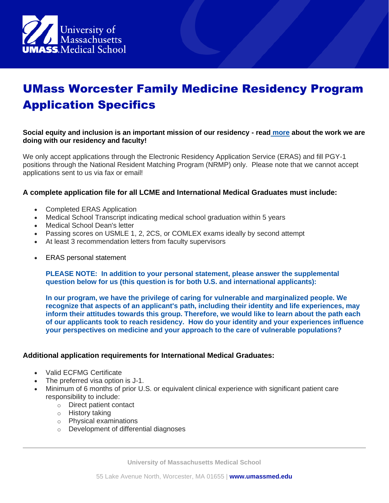

# UMass Worcester Family Medicine Residency Program Application Specifics

### **Social equity and inclusion is an important mission of our residency - read [more](https://www.umassmed.edu/fmch/residencies/worcester-residency/who-we-are/se/) about the work we are doing with our residency and faculty!**

We only accept applications through the Electronic Residency Application Service (ERAS) and fill PGY-1 positions through the National Resident Matching Program (NRMP) only. Please note that we cannot accept applications sent to us via fax or email!

#### **A complete application file for all LCME and International Medical Graduates must include:**

- Completed ERAS Application
- Medical School Transcript indicating medical school graduation within 5 years
- Medical School Dean's letter
- Passing scores on USMLE 1, 2, 2CS, or COMLEX exams ideally by second attempt
- At least 3 recommendation letters from faculty supervisors
- ERAS personal statement

**PLEASE NOTE: In addition to your personal statement, please answer the supplemental question below for us (this question is for both U.S. and international applicants):** 

**In our program, we have the privilege of caring for vulnerable and marginalized people. We recognize that aspects of an applicant's path, including their identity and life experiences, may inform their attitudes towards this group. Therefore, we would like to learn about the path each of our applicants took to reach residency. How do your identity and your experiences influence your perspectives on medicine and your approach to the care of vulnerable populations?**

#### **Additional application requirements for International Medical Graduates:**

- Valid ECFMG Certificate
- The preferred visa option is J-1.
- Minimum of 6 months of prior U.S. or equivalent clinical experience with significant patient care responsibility to include:
	- o Direct patient contact
	- o History taking
	- o Physical examinations
	- o Development of differential diagnoses

**University of Massachusetts Medical School**